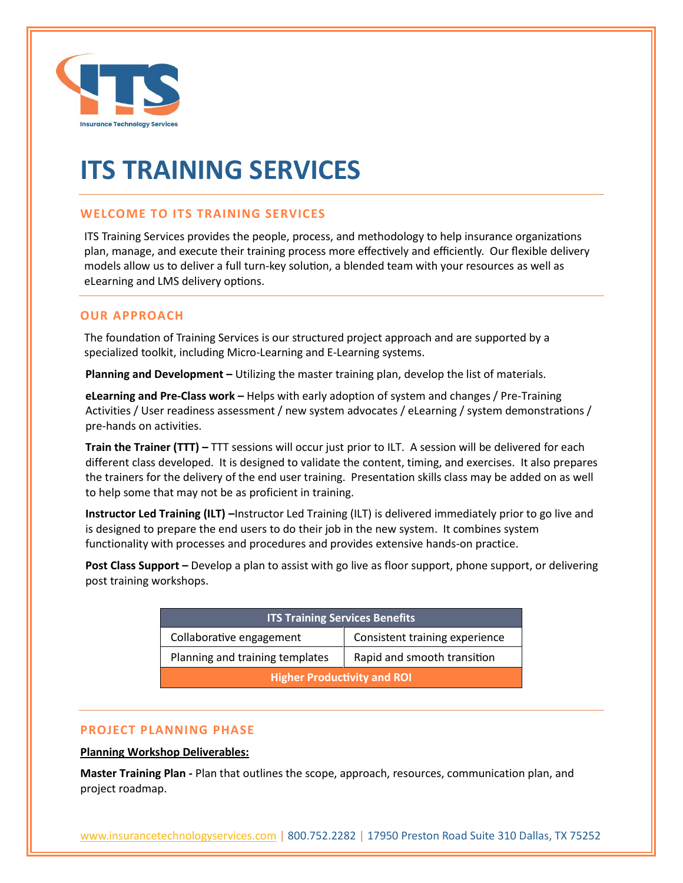

# **ITS TRAINING SERVICES**

# **WELCOME TO ITS TRAINING SERVICES**

ITS Training Services provides the people, process, and methodology to help insurance organizations plan, manage, and execute their training process more effectively and efficiently. Our flexible delivery models allow us to deliver a full turn-key solution, a blended team with your resources as well as eLearning and LMS delivery options.

# **OUR APPROACH**

The foundation of Training Services is our structured project approach and are supported by a specialized toolkit, including Micro-Learning and E-Learning systems.

**Planning and Development –** Utilizing the master training plan, develop the list of materials.

**eLearning and Pre-Class work –** Helps with early adoption of system and changes / Pre-Training Activities / User readiness assessment / new system advocates / eLearning / system demonstrations / pre-hands on activities.

**Train the Trainer (TTT) –** TTT sessions will occur just prior to ILT. A session will be delivered for each different class developed. It is designed to validate the content, timing, and exercises. It also prepares the trainers for the delivery of the end user training. Presentation skills class may be added on as well to help some that may not be as proficient in training.

**Instructor Led Training (ILT) –**Instructor Led Training (ILT) is delivered immediately prior to go live and is designed to prepare the end users to do their job in the new system. It combines system functionality with processes and procedures and provides extensive hands-on practice.

**Post Class Support –** Develop a plan to assist with go live as floor support, phone support, or delivering post training workshops.

| <b>ITS Training Services Benefits</b> |                                |
|---------------------------------------|--------------------------------|
| Collaborative engagement              | Consistent training experience |
| Planning and training templates       | Rapid and smooth transition    |
| <b>Higher Productivity and ROI</b>    |                                |

# **PROJECT PLANNING PHASE**

## **Planning Workshop Deliverables:**

**Master Training Plan -** Plan that outlines the scope, approach, resources, communication plan, and project roadmap.